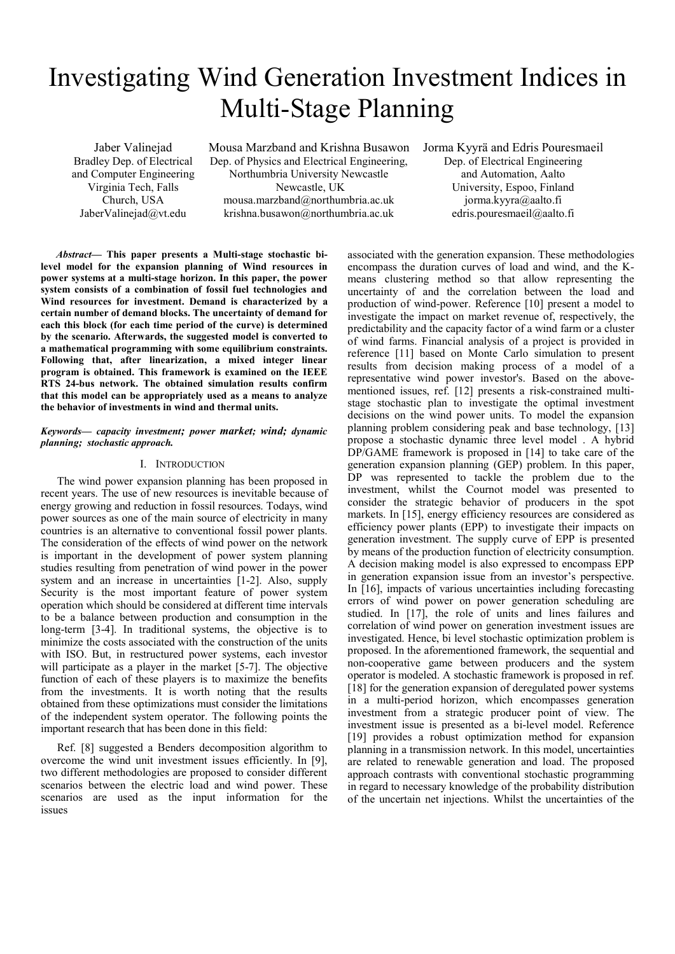# Investigating Wind Generation Investment Indices in Multi-Stage Planning

Jaber Valinejad Bradley Dep. of Electrical and Computer Engineering Virginia Tech, Falls Church, USA JaberValinejad@vt.edu

Mousa Marzband and Krishna Busawon Dep. of Physics and Electrical Engineering, Northumbria University Newcastle Newcastle, UK mousa.marzband@northumbria.ac.uk krishna.busawon@northumbria.ac.uk

Jorma Kyyrä and Edris Pouresmaeil Dep. of Electrical Engineering and Automation, Aalto University, Espoo, Finland jorma.kyyra@aalto.fi edris.pouresmaeil@aalto.fi

Abstract— This paper presents a Multi-stage stochastic bilevel model for the expansion planning of Wind resources in power systems at a multi-stage horizon. In this paper, the power system consists of a combination of fossil fuel technologies and Wind resources for investment. Demand is characterized by a certain number of demand blocks. The uncertainty of demand for each this block (for each time period of the curve) is determined by the scenario. Afterwards, the suggested model is converted to a mathematical programming with some equilibrium constraints. Following that, after linearization, a mixed integer linear program is obtained. This framework is examined on the IEEE RTS 24-bus network. The obtained simulation results confirm that this model can be appropriately used as a means to analyze the behavior of investments in wind and thermal units.

#### Keywords— capacity investment; power market; wind; dynamic planning; stochastic approach.

## I. INTRODUCTION

The wind power expansion planning has been proposed in recent years. The use of new resources is inevitable because of energy growing and reduction in fossil resources. Todays, wind power sources as one of the main source of electricity in many countries is an alternative to conventional fossil power plants. The consideration of the effects of wind power on the network is important in the development of power system planning studies resulting from penetration of wind power in the power system and an increase in uncertainties [1-2]. Also, supply Security is the most important feature of power system operation which should be considered at different time intervals to be a balance between production and consumption in the long-term [3-4]. In traditional systems, the objective is to minimize the costs associated with the construction of the units with ISO. But, in restructured power systems, each investor will participate as a player in the market [5-7]. The objective function of each of these players is to maximize the benefits from the investments. It is worth noting that the results obtained from these optimizations must consider the limitations of the independent system operator. The following points the important research that has been done in this field:

Ref. [8] suggested a Benders decomposition algorithm to overcome the wind unit investment issues efficiently. In [9], two different methodologies are proposed to consider different scenarios between the electric load and wind power. These scenarios are used as the input information for the issues

associated with the generation expansion. These methodologies encompass the duration curves of load and wind, and the Kmeans clustering method so that allow representing the uncertainty of and the correlation between the load and production of wind-power. Reference [10] present a model to investigate the impact on market revenue of, respectively, the predictability and the capacity factor of a wind farm or a cluster of wind farms. Financial analysis of a project is provided in reference [11] based on Monte Carlo simulation to present results from decision making process of a model of a representative wind power investor's. Based on the abovementioned issues, ref. [12] presents a risk-constrained multistage stochastic plan to investigate the optimal investment decisions on the wind power units. To model the expansion planning problem considering peak and base technology, [13] propose a stochastic dynamic three level model . A hybrid DP/GAME framework is proposed in [14] to take care of the generation expansion planning (GEP) problem. In this paper, DP was represented to tackle the problem due to the investment, whilst the Cournot model was presented to consider the strategic behavior of producers in the spot markets. In [15], energy efficiency resources are considered as efficiency power plants (EPP) to investigate their impacts on generation investment. The supply curve of EPP is presented by means of the production function of electricity consumption. A decision making model is also expressed to encompass EPP in generation expansion issue from an investor's perspective. In [16], impacts of various uncertainties including forecasting errors of wind power on power generation scheduling are studied. In [17], the role of units and lines failures and correlation of wind power on generation investment issues are investigated. Hence, bi level stochastic optimization problem is proposed. In the aforementioned framework, the sequential and non-cooperative game between producers and the system operator is modeled. A stochastic framework is proposed in ref. [18] for the generation expansion of deregulated power systems in a multi-period horizon, which encompasses generation investment from a strategic producer point of view. The investment issue is presented as a bi-level model. Reference [19] provides a robust optimization method for expansion planning in a transmission network. In this model, uncertainties are related to renewable generation and load. The proposed approach contrasts with conventional stochastic programming in regard to necessary knowledge of the probability distribution of the uncertain net injections. Whilst the uncertainties of the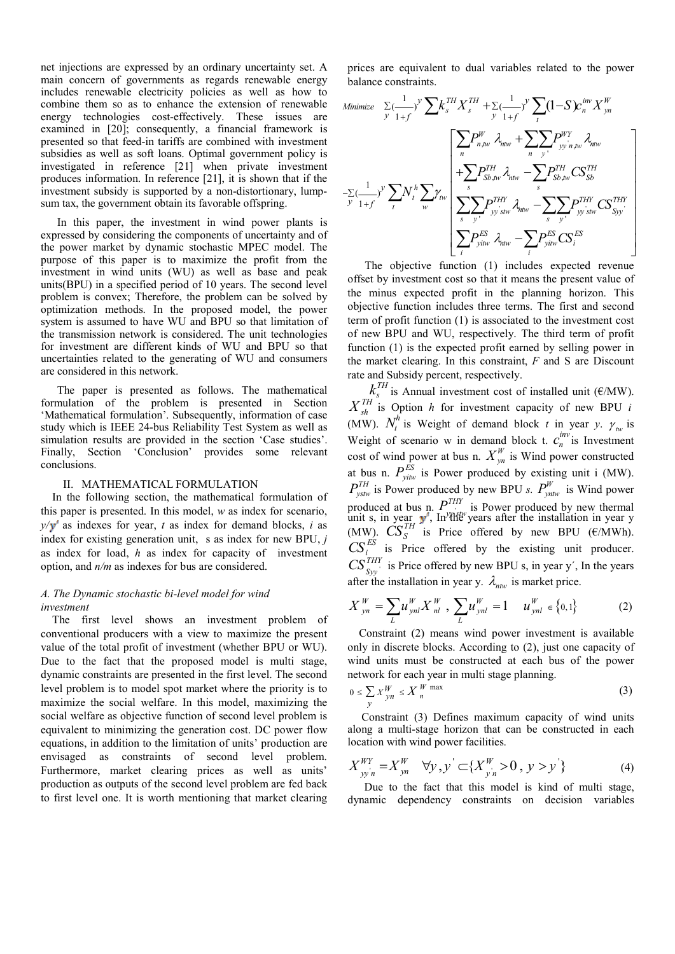net injections are expressed by an ordinary uncertainty set. A main concern of governments as regards renewable energy includes renewable electricity policies as well as how to combine them so as to enhance the extension of renewable energy technologies cost-effectively. These issues are examined in [20]; consequently, a financial framework is presented so that feed-in tariffs are combined with investment subsidies as well as soft loans. Optimal government policy is investigated in reference [21] when private investment produces information. In reference [21], it is shown that if the investment subsidy is supported by a non-distortionary, lumpsum tax, the government obtain its favorable offspring.

In this paper, the investment in wind power plants is expressed by considering the components of uncertainty and of the power market by dynamic stochastic MPEC model. The purpose of this paper is to maximize the profit from the investment in wind units (WU) as well as base and peak units(BPU) in a specified period of 10 years. The second level problem is convex; Therefore, the problem can be solved by optimization methods. In the proposed model, the power system is assumed to have WU and BPU so that limitation of the transmission network is considered. The unit technologies for investment are different kinds of WU and BPU so that uncertainties related to the generating of WU and consumers are considered in this network.

The paper is presented as follows. The mathematical formulation of the problem is presented in Section 'Mathematical formulation'. Subsequently, information of case study which is IEEE 24-bus Reliability Test System as well as simulation results are provided in the section 'Case studies'. Finally, Section 'Conclusion' provides some relevant conclusions.

## II. MATHEMATICAL FORMULATION

In the following section, the mathematical formulation of this paper is presented. In this model,  $w$  as index for scenario,  $y/\mathbf{y}^t$  as indexes for year, t as index for demand blocks, i as index for existing generation unit, s as index for new BPU,  $i$ as index for load,  $h$  as index for capacity of investment option, and  $n/m$  as indexes for bus are considered.

## A. The Dynamic stochastic bi-level model for wind investment

The first level shows an investment problem of conventional producers with a view to maximize the present value of the total profit of investment (whether BPU or WU). Due to the fact that the proposed model is multi stage, dynamic constraints are presented in the first level. The second level problem is to model spot market where the priority is to maximize the social welfare. In this model, maximizing the social welfare as objective function of second level problem is equivalent to minimizing the generation cost. DC power flow equations, in addition to the limitation of units' production are envisaged as constraints of second level problem. Furthermore, market clearing prices as well as units' production as outputs of the second level problem are fed back to first level one. It is worth mentioning that market clearing prices are equivalent to dual variables related to the power balance constraints.

Minimize 
$$
\sum_{y} \frac{1}{1+f} y^y \sum k_s^{TH} X_s^{TH} + \sum_{y} \frac{1}{1+f} y^y \sum_{t} (1-S) c_m^{inv} X_{yn}^W
$$
  
\n
$$
\sum_{n} P_{n,w}^W \lambda_{ntw} + \sum_{n} \sum_{y} P_{y'n,tw}^{PY} \lambda_{ntw}
$$
\n
$$
- \sum_{y} (\frac{1}{1+f})^y \sum_{t} N_t^h \sum_{w} \gamma_{ww}^W
$$
\n
$$
\sum_{s} P_{yj,sw}^{TH} \lambda_{ntw} - \sum_{s} P_{s,b,sw}^{TH} CS_{sb}^{TH}
$$
\n
$$
\sum_{s} P_{yj,sw}^{TH} \lambda_{ntw} - \sum_{s} \sum_{y'} P_{yj,stw}^{TH} CS_{syy'}^{TH}
$$
\n
$$
\sum_{i} P_{yinv}^{ES} \lambda_{ntw} - \sum_{i} P_{yinv}^{ES} CS_i^{ES}
$$

The objective function (1) includes expected revenue offset by investment cost so that it means the present value of the minus expected profit in the planning horizon. This objective function includes three terms. The first and second term of profit function (1) is associated to the investment cost of new BPU and WU, respectively. The third term of profit function (1) is the expected profit earned by selling power in the market clearing. In this constraint,  $F$  and  $S$  are Discount rate and Subsidy percent, respectively.

 $X_{sh}^{TH}$  is Almaan investment cost of instance and  $(X_{sh}^{TH})$  is Option h for investment capacity of new BPU is  $k_{s}^{TH}$  is Annual investment cost of installed unit ( $\epsilon/MW$ ). (MW).  $N_t^h$  is Weight of demand block t in year y.  $\gamma_{tw}$  is Weight of scenario w in demand block t.  $C_n^{inv}$  is Investment cost of wind power at bus n.  $X_{yn}^W$  is Wind power constructed at bus n.  $P_{\text{yitw}}^{\text{ES}}$  is Power produced by existing unit i (MW).  $P_{y_{stw}}^{TH}$  is Power produced by new BPU *s*.  $P_{y_{ntw}}^{W}$  is Wind power produced at bus n.  $P^{THY}$  $P^{THY}$  is Power produced by new thermal unit s, in year  $\mathbf{y}^{\prime}$ , In the years after the installation in year y (MW).  $\check{CS}_{S}^{TH}$  is Price offered by new BPU ( $\epsilon/MWh$ ).  $CS_i^{ES}$  is Price offered by the existing unit producer.  $CS_{\mathit{Syy'}}^{THY}$  is Price offered by new BPU s, in year y', In the years after the installation in year y.  $\lambda_{n\mu\nu}$  is market price.

$$
X_{yn}^W = \sum_{L} u_{ynl}^W X_{nl}^W, \ \sum_{L} u_{ynl}^W = 1 \quad u_{ynl}^W \in \{0, 1\}
$$
 (2)

Constraint (2) means wind power investment is available only in discrete blocks. According to (2), just one capacity of wind units must be constructed at each bus of the power network for each year in multi stage planning.

$$
0 \le \sum_{y} X_{yn}^{W} \le X_{n}^{W \text{ max}} \tag{3}
$$

 Constraint (3) Defines maximum capacity of wind units along a multi-stage horizon that can be constructed in each location with wind power facilities.

$$
X_{yy}^{WY} = X_{yn}^{W} \quad \forall y, y \in \{X_{y,n}^{W} > 0, y > y'\}
$$
 (4)

 Due to the fact that this model is kind of multi stage, dynamic dependency constraints on decision variables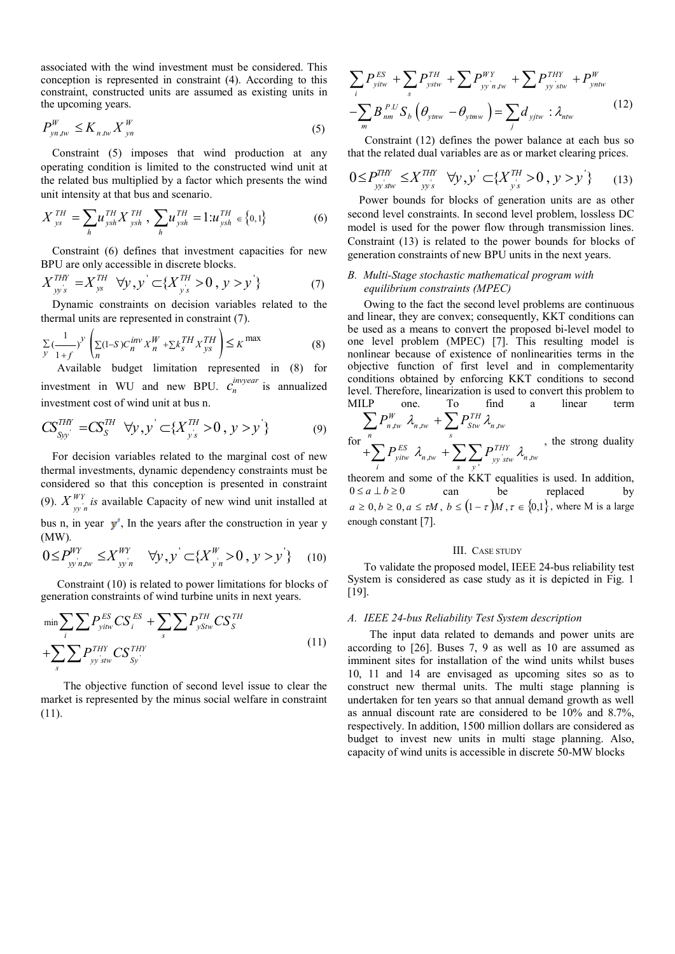associated with the wind investment must be considered. This conception is represented in constraint (4). According to this constraint, constructed units are assumed as existing units in the upcoming years.

$$
P_{yn,w}^W \le K_{n,w} X_{yn}^W \tag{5}
$$

Constraint (5) imposes that wind production at any operating condition is limited to the constructed wind unit at the related bus multiplied by a factor which presents the wind unit intensity at that bus and scenario.

$$
X_{ys}^{TH} = \sum_{h} u_{ysh}^{TH} X_{ysh}^{TH}, \sum_{h} u_{ysh}^{TH} = 1: u_{ysh}^{TH} \in \{0, 1\}
$$
 (6)

Constraint (6) defines that investment capacities for new BPU are only accessible in discrete blocks.

$$
X_{yy's}^{THY} = X_{ys}^{TH} \quad \forall y, y' \subset \{X_{y's}^{TH} > 0, y > y'\}
$$
 (7)

Dynamic constraints on decision variables related to the thermal units are represented in constraint (7).

$$
\sum_{y} \left( \frac{1}{1+f} \right)^y \left( \sum_{n} (1-S) C_n^{inv} X_n^W + \sum_{s} k_s^{TH} X_{ys}^{TH} \right) \le K^{\max} \tag{8}
$$

Available budget limitation represented in (8) for investment in WU and new BPU.  $C_n^{invyear}$  is annualized investment cost of wind unit at bus n.

$$
CS_{\mathit{S}\mathit{y}\mathit{y}\mathit{y}}^{\mathit{THY}} = CS_{\mathit{S}}^{\mathit{THY}} \ \forall \mathit{y}, \mathit{y} \in \{X_{\mathit{y}\mathit{y}}^{\mathit{THY}} > 0, \mathit{y} > \mathit{y}'\} \tag{9}
$$

 For decision variables related to the marginal cost of new thermal investments, dynamic dependency constraints must be considered so that this conception is presented in constraint (9).  $X^{WY}$  $X^{WY}_{yyn}$  is available Capacity of new wind unit installed at bus n, in year  $\psi^*$ , In the years after the construction in year y (MW).

$$
0 \le P_{y_{y,n,w}}^{WY} \le X_{y_{y,n}}^{WY} \quad \forall y, y \in \{X_{y,n}^{W} > 0, y > y'\} \quad (10)
$$

Constraint (10) is related to power limitations for blocks of generation constraints of wind turbine units in next years.

$$
\min \sum_{i} \sum P_{jitw}^{ES} CS_{i}^{ES} + \sum_{s} \sum P_{yStw}^{TH} CS_{s}^{TH} + \sum_{s} \sum P_{yStw}^{TH} CS_{s}^{TH} \tag{11}
$$

 The objective function of second level issue to clear the market is represented by the minus social welfare in constraint (11).

$$
\sum_{i} P_{yitw}^{ES} + \sum_{s} P_{ystw}^{TH} + \sum_{s} P_{yy}^{WY} + \sum_{s} P_{yy'stw}^{THY} + P_{yntw}^{W}
$$

$$
- \sum_{m} B_{nm}^{PU} S_{b} (\theta_{ytmw} - \theta_{ytmw}) = \sum_{j} d_{yjtw} : \lambda_{ntw}
$$
(12)

 Constraint (12) defines the power balance at each bus so that the related dual variables are as or market clearing prices.

$$
0 \le P_{yy'stw}^{THY} \le X_{yy's}^{THY} \quad \forall y, y' \subset \{X_{y's}^{THY} > 0, y > y'\} \tag{13}
$$

 $\sum u_{vsh}^{TH} = 1: u_{vsh}^{TH} \in \{0,1\}$  (6) second level constraints. In second level problem, lossless DC Power bounds for blocks of generation units are as other model is used for the power flow through transmission lines. Constraint (13) is related to the power bounds for blocks of generation constraints of new BPU units in the next years.

## B. Multi-Stage stochastic mathematical program with equilibrium constraints (MPEC)

Owing to the fact the second level problems are continuous and linear, they are convex; consequently, KKT conditions can be used as a means to convert the proposed bi-level model to one level problem (MPEC) [7]. This resulting model is nonlinear because of existence of nonlinearities terms in the objective function of first level and in complementarity conditions obtained by enforcing KKT conditions to second level. Therefore, linearization is used to convert this problem to MILP one. To find a linear term

$$
\sum_{n} P_{n,tw}^{W} \lambda_{n,tw} + \sum_{s} P_{Stw}^{TH} \lambda_{n,tw}
$$
\n
$$
+ \sum_{i} P_{yitw}^{ES} \lambda_{n,tw} + \sum_{s} \sum_{y} P_{yy'stw}^{THY} \lambda_{n,tw}
$$
, the strong duality

theorem and some of the KKT equalities is used. In addition,  $0 \le a \perp b \ge 0$  can be replaced by  $a \geq 0, b \geq 0, a \leq \tau M, b \leq (1 - \tau)M, \tau \in \{0,1\}$ , where M is a large enough constant [7].

## III. CASE STUDY

To validate the proposed model, IEEE 24-bus reliability test System is considered as case study as it is depicted in Fig. 1 [19].

## A. IEEE 24-bus Reliability Test System description

 The input data related to demands and power units are according to [26]. Buses 7, 9 as well as 10 are assumed as imminent sites for installation of the wind units whilst buses 10, 11 and 14 are envisaged as upcoming sites so as to construct new thermal units. The multi stage planning is undertaken for ten years so that annual demand growth as well as annual discount rate are considered to be 10% and 8.7%, respectively. In addition, 1500 million dollars are considered as budget to invest new units in multi stage planning. Also, capacity of wind units is accessible in discrete 50-MW blocks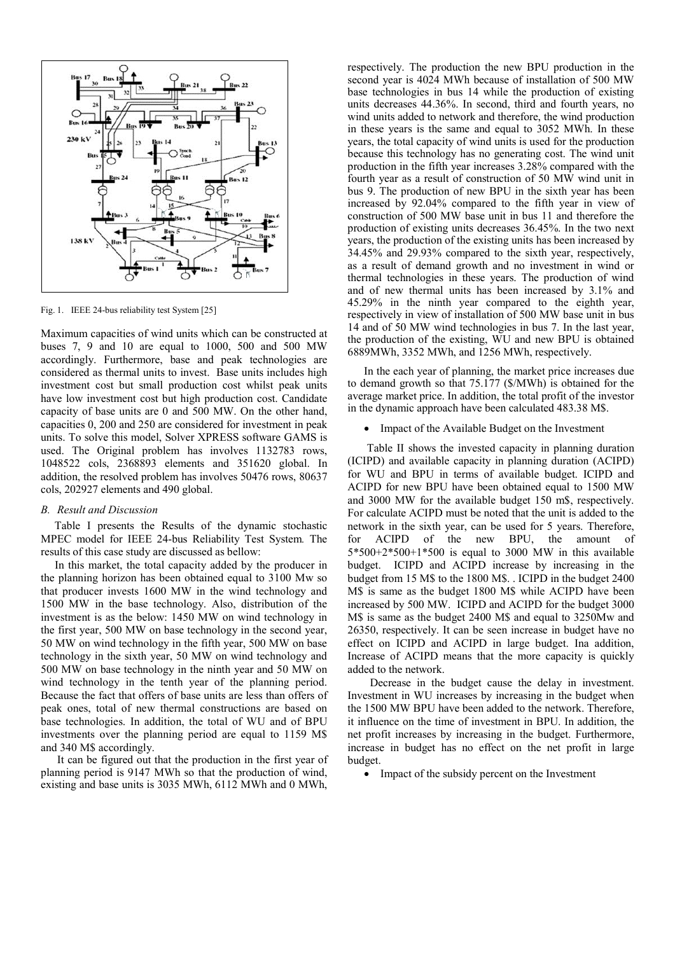

Fig. 1. IEEE 24-bus reliability test System [25]

Maximum capacities of wind units which can be constructed at buses 7, 9 and 10 are equal to 1000, 500 and 500 MW accordingly. Furthermore, base and peak technologies are considered as thermal units to invest. Base units includes high investment cost but small production cost whilst peak units have low investment cost but high production cost. Candidate capacity of base units are 0 and 500 MW. On the other hand, capacities 0, 200 and 250 are considered for investment in peak units. To solve this model, Solver XPRESS software GAMS is used. The Original problem has involves 1132783 rows, 1048522 cols, 2368893 elements and 351620 global. In addition, the resolved problem has involves 50476 rows, 80637 cols, 202927 elements and 490 global.

## B. Result and Discussion

 Table I presents the Results of the dynamic stochastic MPEC model for IEEE 24-bus Reliability Test System. The results of this case study are discussed as bellow:

 In this market, the total capacity added by the producer in the planning horizon has been obtained equal to 3100 Mw so that producer invests 1600 MW in the wind technology and 1500 MW in the base technology. Also, distribution of the investment is as the below: 1450 MW on wind technology in the first year, 500 MW on base technology in the second year, 50 MW on wind technology in the fifth year, 500 MW on base technology in the sixth year, 50 MW on wind technology and 500 MW on base technology in the ninth year and 50 MW on wind technology in the tenth year of the planning period. Because the fact that offers of base units are less than offers of peak ones, total of new thermal constructions are based on base technologies. In addition, the total of WU and of BPU investments over the planning period are equal to 1159 M\$ and 340 M\$ accordingly.

It can be figured out that the production in the first year of planning period is 9147 MWh so that the production of wind, existing and base units is 3035 MWh, 6112 MWh and 0 MWh,

respectively. The production the new BPU production in the second year is 4024 MWh because of installation of 500 MW base technologies in bus 14 while the production of existing units decreases 44.36%. In second, third and fourth years, no wind units added to network and therefore, the wind production in these years is the same and equal to 3052 MWh. In these years, the total capacity of wind units is used for the production because this technology has no generating cost. The wind unit production in the fifth year increases 3.28% compared with the fourth year as a result of construction of 50 MW wind unit in bus 9. The production of new BPU in the sixth year has been increased by 92.04% compared to the fifth year in view of construction of 500 MW base unit in bus 11 and therefore the production of existing units decreases 36.45%. In the two next years, the production of the existing units has been increased by 34.45% and 29.93% compared to the sixth year, respectively, as a result of demand growth and no investment in wind or thermal technologies in these years. The production of wind and of new thermal units has been increased by 3.1% and 45.29% in the ninth year compared to the eighth year, respectively in view of installation of 500 MW base unit in bus 14 and of 50 MW wind technologies in bus 7. In the last year, the production of the existing, WU and new BPU is obtained 6889MWh, 3352 MWh, and 1256 MWh, respectively.

In the each year of planning, the market price increases due to demand growth so that 75.177 (\$/MWh) is obtained for the average market price. In addition, the total profit of the investor in the dynamic approach have been calculated 483.38 M\$.

• Impact of the Available Budget on the Investment

 Table II shows the invested capacity in planning duration (ICIPD) and available capacity in planning duration (ACIPD) for WU and BPU in terms of available budget. ICIPD and ACIPD for new BPU have been obtained equal to 1500 MW and 3000 MW for the available budget 150 m\$, respectively. For calculate ACIPD must be noted that the unit is added to the network in the sixth year, can be used for 5 years. Therefore, for ACIPD of the new BPU, the amount of  $5*500+2*500+1*500$  is equal to 3000 MW in this available budget. ICIPD and ACIPD increase by increasing in the budget from 15 M\$ to the 1800 M\$. . ICIPD in the budget 2400 M\$ is same as the budget 1800 M\$ while ACIPD have been increased by 500 MW. ICIPD and ACIPD for the budget 3000 M\$ is same as the budget 2400 M\$ and equal to 3250Mw and 26350, respectively. It can be seen increase in budget have no effect on ICIPD and ACIPD in large budget. Ina addition, Increase of ACIPD means that the more capacity is quickly added to the network.

 Decrease in the budget cause the delay in investment. Investment in WU increases by increasing in the budget when the 1500 MW BPU have been added to the network. Therefore, it influence on the time of investment in BPU. In addition, the net profit increases by increasing in the budget. Furthermore, increase in budget has no effect on the net profit in large budget.

• Impact of the subsidy percent on the Investment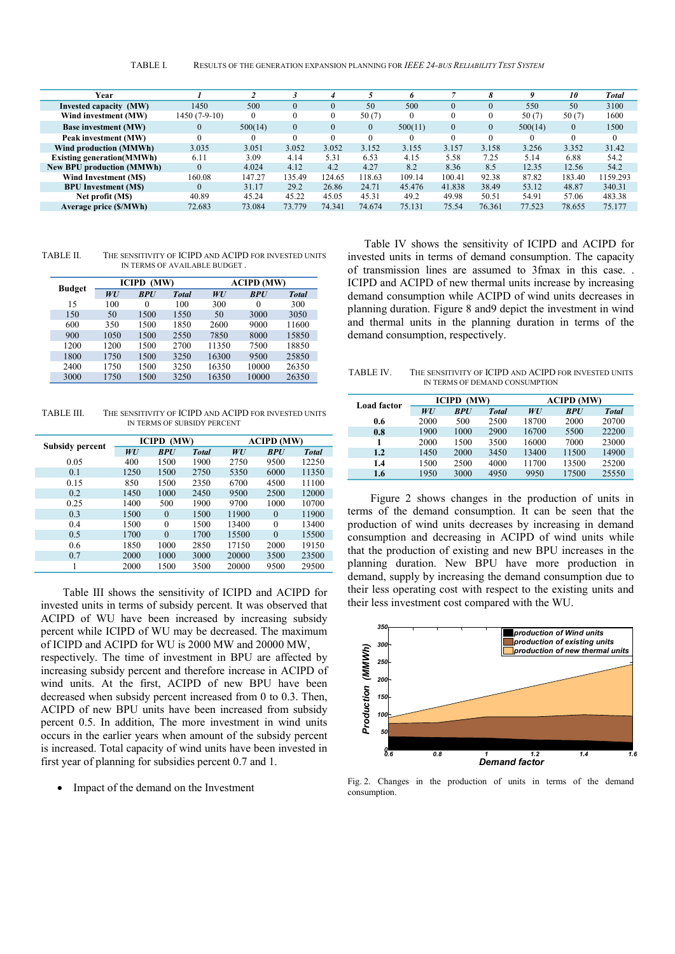| Year                              |               |          |                |          |          | 6        |          |              | o       | 10       | Total    |
|-----------------------------------|---------------|----------|----------------|----------|----------|----------|----------|--------------|---------|----------|----------|
| Invested capacity (MW)            | 1450          | 500      | $\theta$       | $\Omega$ | 50       | 500      |          | $\theta$     | 550     | 50       | 3100     |
| Wind investment (MW)              | 1450 (7-9-10) | $\theta$ | 0              |          | 50(7)    | $\theta$ |          | $\mathbf{0}$ | 50(7)   | 50(7)    | 1600     |
| <b>Base investment (MW)</b>       | 0             | 500(14)  | $\overline{0}$ | $\theta$ | $\Omega$ | 500(11)  | $\Omega$ | $\mathbf{0}$ | 500(14) | $\theta$ | 1500     |
| Peak investment (MW)              |               |          | 0              | $\Omega$ |          |          | $\Omega$ | $\theta$     | 0       |          | $\Omega$ |
| Wind production (MMWh)            | 3.035         | 3.051    | 3.052          | 3.052    | 3.152    | 3.155    | 3.157    | 3.158        | 3.256   | 3.352    | 31.42    |
| <b>Existing generation</b> (MMWh) | 6.11          | 3.09     | 4.14           | 5.31     | 6.53     | 4.15     | 5.58     | 7.25         | 5.14    | 6.88     | 54.2     |
| <b>New BPU production (MMWh)</b>  | $\Omega$      | 4.024    | 4.12           | 4.2      | 4.27     | 8.2      | 8.36     | 8.5          | 12.35   | 12.56    | 54.2     |
| Wind Investment (MS)              | 160.08        | 147.27   | 135.49         | 124.65   | 118.63   | 109.14   | 100.41   | 92.38        | 87.82   | 183.40   | 1159.293 |
| <b>BPU</b> Investment (MS)        |               | 31.17    | 29.2           | 26.86    | 24.71    | 45.476   | 41.838   | 38.49        | 53.12   | 48.87    | 340.31   |
| Net profit (M\$)                  | 40.89         | 45.24    | 45.22          | 45.05    | 45.31    | 49.2     | 49.98    | 50.51        | 54.91   | 57.06    | 483.38   |
| Average price (\$/MWh)            | 72.683        | 73.084   | 73.779         | 74.341   | 74.674   | 75.131   | 75.54    | 76.361       | 77.523  | 78.655   | 75.177   |

TABLE II. THE SENSITIVITY OF ICIPD AND ACIPD FOR INVESTED UNITS IN TERMS OF AVAILABLE BUDGET .

| <b>Budget</b> |      | (MW)<br>ICIPD |              | <b>ACIPD (MW)</b> |            |              |  |
|---------------|------|---------------|--------------|-------------------|------------|--------------|--|
|               | WU   | <b>BPU</b>    | <b>Total</b> | WU                | <b>BPU</b> | <b>Total</b> |  |
| 15            | 100  | 0             | 100          | 300               | 0          | 300          |  |
| 150           | 50   | 1500          | 1550         | 50                | 3000       | 3050         |  |
| 600           | 350  | 1500          | 1850         | 2600              | 9000       | 11600        |  |
| 900           | 1050 | 1500          | 2550         | 7850              | 8000       | 15850        |  |
| 1200          | 1200 | 1500          | 2700         | 11350             | 7500       | 18850        |  |
| 1800          | 1750 | 1500          | 3250         | 16300             | 9500       | 25850        |  |
| 2400          | 1750 | 1500          | 3250         | 16350             | 10000      | 26350        |  |
| 3000          | 1750 | 1500          | 3250         | 16350             | 10000      | 26350        |  |

TABLE III. THE SENSITIVITY OF ICIPD AND ACIPD FOR INVESTED UNITS IN TERMS OF SUBSIDY PERCENT

| <b>Subsidy percent</b> |      | <b>ICIPD (MW)</b> |              | <b>ACIPD</b> (MW) |            |              |  |
|------------------------|------|-------------------|--------------|-------------------|------------|--------------|--|
|                        | WU   | <b>BPU</b>        | <b>Total</b> | WU                | <b>BPU</b> | <b>Total</b> |  |
| 0.05                   | 400  | 1500              | 1900         | 2750              | 9500       | 12250        |  |
| 0.1                    | 1250 | 1500              | 2750         | 5350              | 6000       | 11350        |  |
| 0.15                   | 850  | 1500              | 2350         | 6700              | 4500       | 11100        |  |
| 0.2                    | 1450 | 1000              | 2450         | 9500              | 2500       | 12000        |  |
| 0.25                   | 1400 | 500               | 1900         | 9700              | 1000       | 10700        |  |
| 0.3                    | 1500 | $\Omega$          | 1500         | 11900             | $\theta$   | 11900        |  |
| 0.4                    | 1500 | 0                 | 1500         | 13400             | $\theta$   | 13400        |  |
| 0.5                    | 1700 | $\Omega$          | 1700         | 15500             | $\Omega$   | 15500        |  |
| 0.6                    | 1850 | 1000              | 2850         | 17150             | 2000       | 19150        |  |
| 0.7                    | 2000 | 1000              | 3000         | 20000             | 3500       | 23500        |  |
|                        | 2000 | 1500              | 3500         | 20000             | 9500       | 29500        |  |

 Table III shows the sensitivity of ICIPD and ACIPD for invested units in terms of subsidy percent. It was observed that ACIPD of WU have been increased by increasing subsidy percent while ICIPD of WU may be decreased. The maximum of ICIPD and ACIPD for WU is 2000 MW and 20000 MW,

respectively. The time of investment in BPU are affected by increasing subsidy percent and therefore increase in ACIPD of wind units. At the first, ACIPD of new BPU have been decreased when subsidy percent increased from 0 to 0.3. Then, ACIPD of new BPU units have been increased from subsidy percent 0.5. In addition, The more investment in wind units occurs in the earlier years when amount of the subsidy percent is increased. Total capacity of wind units have been invested in first year of planning for subsidies percent 0.7 and 1.

Impact of the demand on the Investment

 Table IV shows the sensitivity of ICIPD and ACIPD for invested units in terms of demand consumption. The capacity of transmission lines are assumed to 3fmax in this case. . ICIPD and ACIPD of new thermal units increase by increasing demand consumption while ACIPD of wind units decreases in planning duration. Figure 8 and9 depict the investment in wind and thermal units in the planning duration in terms of the demand consumption, respectively.

TABLE IV. THE SENSITIVITY OF ICIPD AND ACIPD FOR INVESTED UNITS IN TERMS OF DEMAND CONSUMPTION

| <b>Load factor</b> |      | ICIPD<br>(MW) |              | <b>ACIPD (MW)</b> |            |              |  |
|--------------------|------|---------------|--------------|-------------------|------------|--------------|--|
|                    | WU   | <b>BPU</b>    | <b>Total</b> | WU                | <b>BPU</b> | <b>Total</b> |  |
| 0.6                | 2000 | 500           | 2500         | 18700             | 2000       | 20700        |  |
| 0.8                | 1900 | 1000          | 2900         | 16700             | 5500       | 22200        |  |
|                    | 2000 | 1500          | 3500         | 16000             | 7000       | 23000        |  |
| $1.2\phantom{0}$   | 1450 | 2000          | 3450         | 13400             | 11500      | 14900        |  |
| 1.4                | 1500 | 2500          | 4000         | 11700             | 13500      | 25200        |  |
| 1.6                | 1950 | 3000          | 4950         | 9950              | 17500      | 25550        |  |

 Figure 2 shows changes in the production of units in terms of the demand consumption. It can be seen that the production of wind units decreases by increasing in demand consumption and decreasing in ACIPD of wind units while that the production of existing and new BPU increases in the planning duration. New BPU have more production in demand, supply by increasing the demand consumption due to their less operating cost with respect to the existing units and their less investment cost compared with the WU.



Fig. 2. Changes in the production of units in terms of the demand consumption.